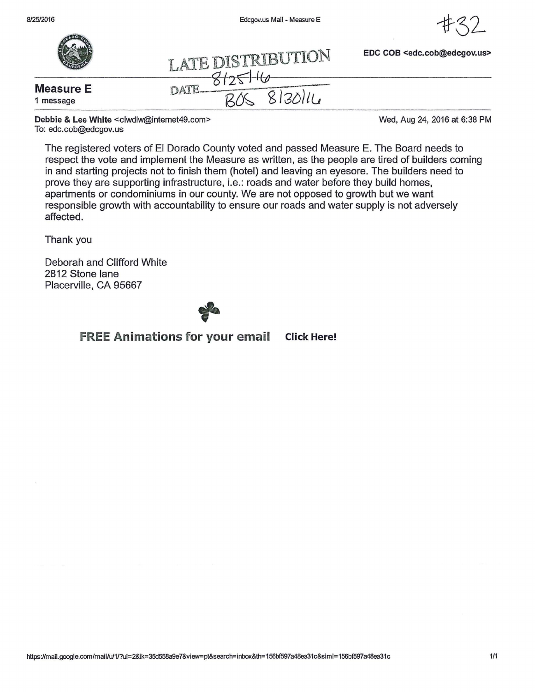



<sup>~</sup>EDC COB <edc.cob@edcgov.us> LATE D]:§TIUBUTION --------------~~£~-~------------------ **Measure E** ohTE  $1$  message **b DATE**  $\overline{R/S}$   $\overline{S}$   $\overline{3D}$ 

Debbie & Lee White <clwdlw@internet49.com> To: edc.cob@edcgov.us

Wed, Aug 24, 2016 at 6:38PM

The registered voters of El Dorado County voted and passed Measure E. The Board needs to respect the vote and implement the Measure as written, as the people are tired of builders coming in and starting projects not to finish them (hotel) and leaving an eyesore. The builders need to prove they are supporting infrastructure, i.e.: roads and water before they build homes, apartments or condominiums in our county. We are not opposed to growth but we want responsible growth with accountability to ensure our roads and water supply is not adversely affected.

Thank you

Deborah and Clifford White 2812 Stone lane Placerville, CA 95667



**FREE Animations for your email Click Here!**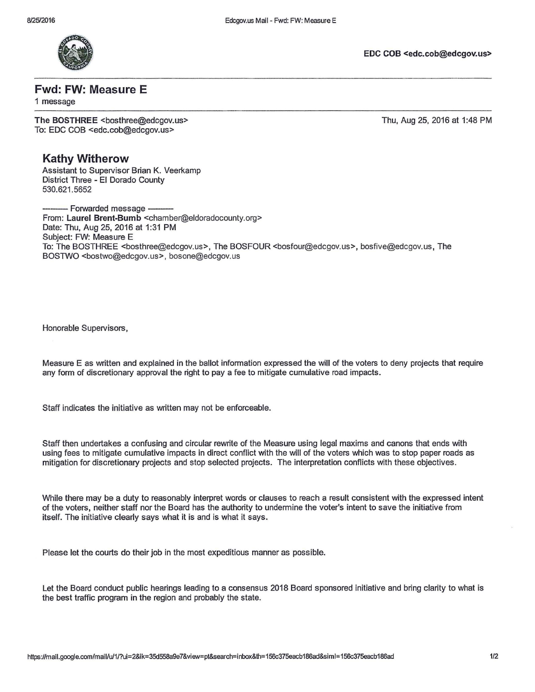

## **Fwd: FW: Measure E**

1 message

The BOSTHREE <bosthree@edcgov.us> To: EDC COB <edc.cob@edcgov.us>

Thu, Aug 25, 2016 at 1:48PM

## **Kathy Witherow**

Assistant to Supervisor Brian K. Veerkamp District Three - El Dorado County 530.621 .5652

Forwarded message -From: **Laurel Brent-Bumb** <chamber@eldoradocounty.org> Date: Thu, Aug 25, 2016 at 1:31 PM Subject: FW: Measure E To: The BOSTHREE <bosthree@edcgov.us>, The BOSFOUR <br/>bosfour@edcgov.us>, bosfive@edcgov.us, The BOSTWO <bostwo@edcgov.us>, bosone@edcgov.us

Honorable Supervisors,

Measure E as written and explained in the ballot information expressed the will of the voters to deny projects that require any form of discretionary approval the right to pay a fee to mitigate cumulative road impacts.

Staff indicates the initiative as written may not be enforceable.

Staff then undertakes a confusing and circular rewrite of the Measure using legal maxims and canons that ends with using fees to mitigate cumulative impacts in direct conflict with the will of the voters which was to stop paper roads as mitigation for discretionary projects and stop selected projects. The interpretation conflicts with these objectives.

While there may be a duty to reasonably interpret words or clauses to reach a result consistent with the expressed intent of the voters, neither staff nor the Board has the authority to undermine the voter's intent to save the initiative from itself. The initiative clearly says what it is and is what it says.

Please let the courts do their job in the most expeditious manner as possible.

Let the Board conduct public hearings leading to a consensus 2018 Board sponsored initiative and bring clarity to what is the best traffic program in the region and probably the state.